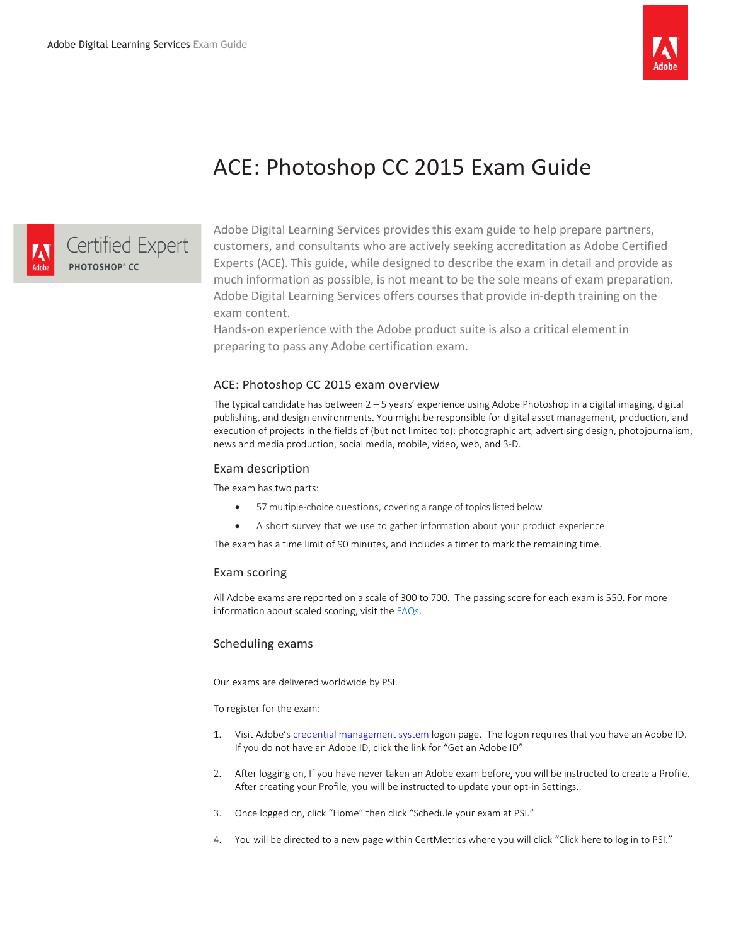

# ACE: Photoshop CC 2015 Exam Guide



Adobe Digital Learning Services provides this exam guide to help prepare partners, customers, and consultants who are actively seeking accreditation as Adobe Certified Experts (ACE). This guide, while designed to describe the exam in detail and provide as much information as possible, is not meant to be the sole means of exam preparation. Adobe Digital Learning Services offers courses that provide in-depth training on the exam content.

Hands-on experience with the Adobe product suite is also a critical element in preparing to pass any Adobe certification exam.

## ACE: Photoshop CC 2015 exam overview

The typical candidate has between 2 – 5 years' experience using Adobe Photoshop in a digital imaging, digital publishing, and design environments. You might be responsible for digital asset management, production, and execution of projects in the fields of (but not limited to): photographic art, advertising design, photojournalism, news and media production, social media, mobile, video, web, and 3-D.

## Exam description

The exam has two parts:

- 57 multiple-choice questions, covering a range of topics listed below
- A short survey that we use to gather information about your product experience

The exam has a time limit of 90 minutes, and includes a timer to mark the remaining time.

## Exam scoring

All Adobe exams are reported on a scale of 300 to 700. The passing score for each exam is 550. For more information about scaled scoring, visit th[e FAQs.](https://www.adobe.com/training/course-faq.html#cert-general)

## Scheduling exams

Our exams are delivered worldwide by PSI.

To register for the exam:

- 1. Visit Adobe'[s credential management system](https://training.adobe.com/certify) logon page. The logon requires that you have an Adobe ID. If you do not have an Adobe ID, click the link for "Get an Adobe ID"
- 2. After logging on, If you have never taken an Adobe exam before, you will be instructed to create a Profile. After creating your Profile, you will be instructed to update your opt-in Settings..
- 3. Once logged on, click "Home" then click "Schedule your exam at PSI."
- 4. You will be directed to a new page within CertMetrics where you will click "Click here to log in to PSI."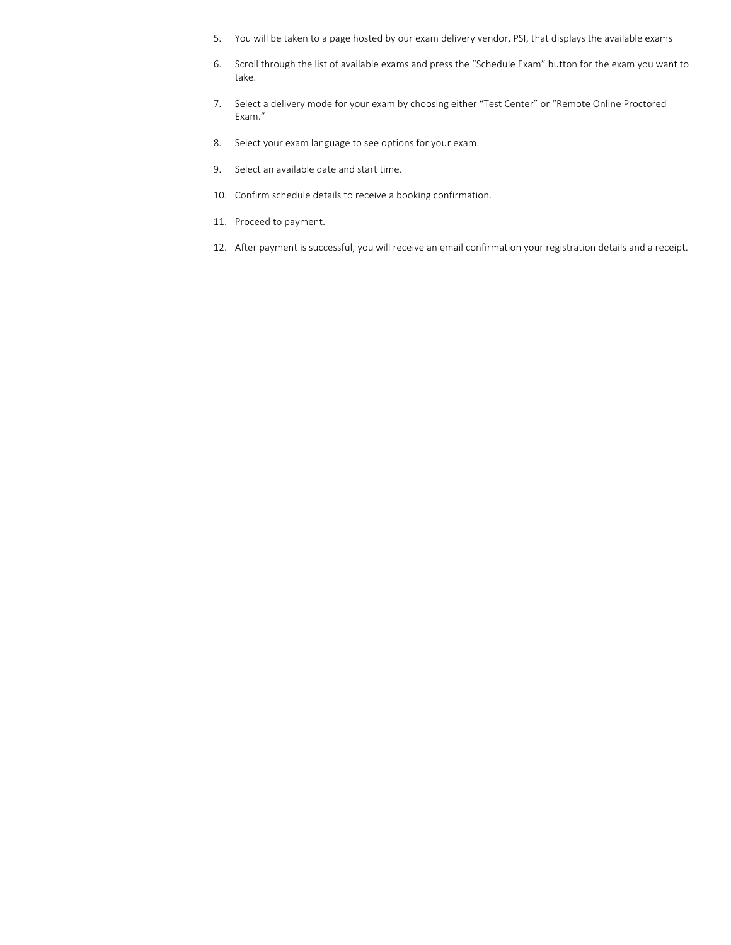- 5. You will be taken to a page hosted by our exam delivery vendor, PSI, that displays the available exams
- 6. Scroll through the list of available exams and press the "Schedule Exam" button for the exam you want to take.
- 7. Select a delivery mode for your exam by choosing either "Test Center" or "Remote Online Proctored Exam."
- 8. Select your exam language to see options for your exam.
- 9. Select an available date and start time.
- 10. Confirm schedule details to receive a booking confirmation.
- 11. Proceed to payment.
- 12. After payment is successful, you will receive an email confirmation your registration details and a receipt.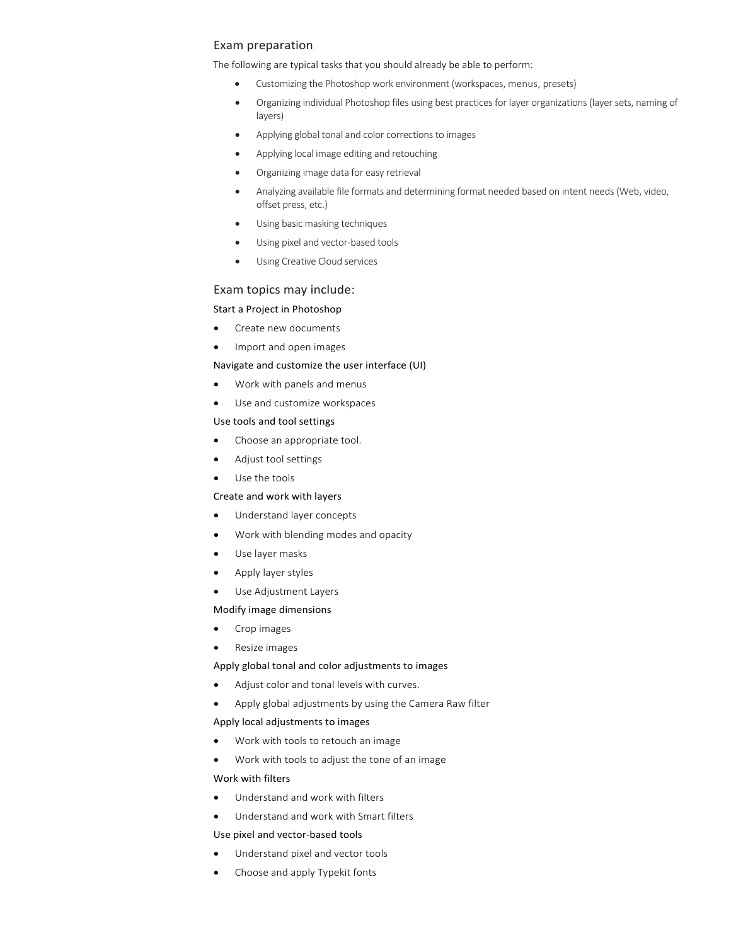# Exam preparation

The following are typical tasks that you should already be able to perform:

- Customizing the Photoshop work environment (workspaces, menus, presets)
- Organizing individual Photoshop files using best practices for layer organizations (layer sets, naming of layers)
- Applying global tonal and color corrections to images
- Applying local image editing and retouching
- Organizing image data for easy retrieval
- Analyzing available file formats and determining format needed based on intent needs (Web, video, offset press, etc.)
- Using basic masking techniques
- Using pixel and vector-based tools
- Using Creative Cloud services

# Exam topics may include:

# Start a Project in Photoshop

- Create new documents
- Import and open images

#### Navigate and customize the user interface (UI)

- Work with panels and menus
- Use and customize workspaces

#### Use tools and tool settings

- Choose an appropriate tool.
- Adjust tool settings
- Use the tools

#### Create and work with layers

- Understand layer concepts
- Work with blending modes and opacity
- Use layer masks
- Apply layer styles
- Use Adjustment Layers

# Modify image dimensions

- Crop images
- Resize images

# Apply global tonal and color adjustments to images

- Adjust color and tonal levels with curves.
- Apply global adjustments by using the Camera Raw filter

## Apply local adjustments to images

- Work with tools to retouch an image
- Work with tools to adjust the tone of an image

## Work with filters

- Understand and work with filters
- Understand and work with Smart filters

#### Use pixel and vector-based tools

- Understand pixel and vector tools
- Choose and apply Typekit fonts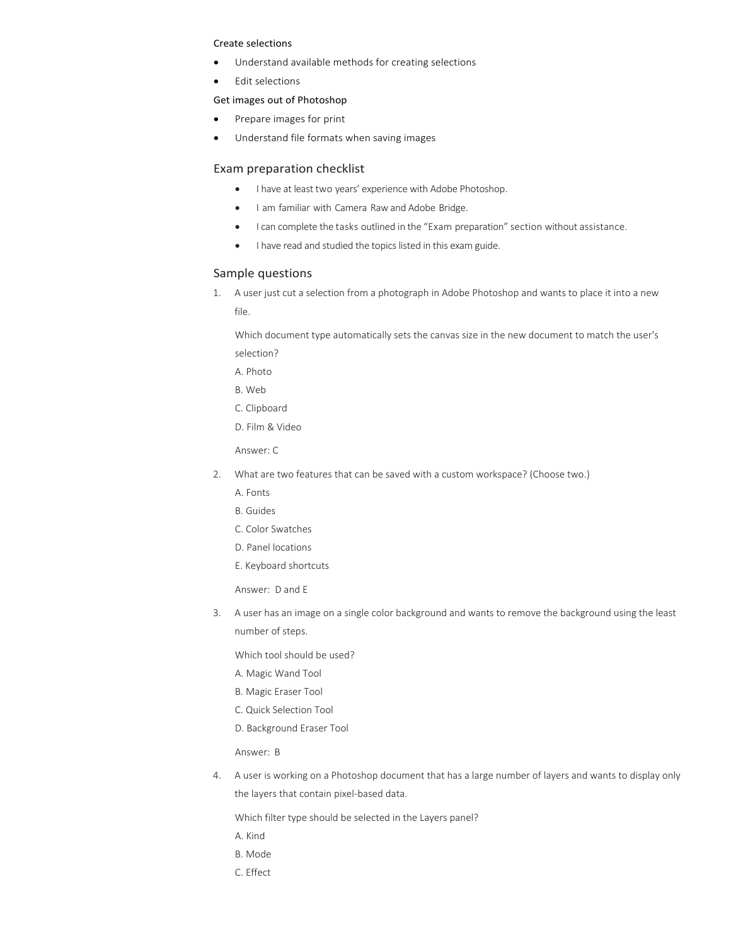#### Create selections

- Understand available methods for creating selections
- Edit selections

#### Get images out of Photoshop

- Prepare images for print
- Understand file formats when saving images

### Exam preparation checklist

- I have at least two years' experience with Adobe Photoshop.
- I am familiar with Camera Raw and Adobe Bridge.
- I can complete the tasks outlined in the "Exam preparation" section without assistance.
- I have read and studied the topics listed in this exam guide.

# Sample questions

1. A user just cut a selection from a photograph in Adobe Photoshop and wants to place it into a new file.

Which document type automatically sets the canvas size in the new document to match the user's selection?

- A. Photo
- B. Web
- C. Clipboard
- D. Film & Video

Answer: C

- 2. What are two features that can be saved with a custom workspace? (Choose two.)
	- A. Fonts
	- B. Guides
	- C. Color Swatches
	- D. Panel locations
	- E. Keyboard shortcuts

Answer: D and E

3. A user has an image on a single color background and wants to remove the background using the least number of steps.

Which tool should be used?

- A. Magic Wand Tool
- B. Magic Eraser Tool
- C. Quick Selection Tool
- D. Background Eraser Tool

Answer: B

4. A user is working on a Photoshop document that has a large number of layers and wants to display only the layers that contain pixel-based data.

Which filter type should be selected in the Layers panel?

- A. Kind
- B. Mode
- C. Effect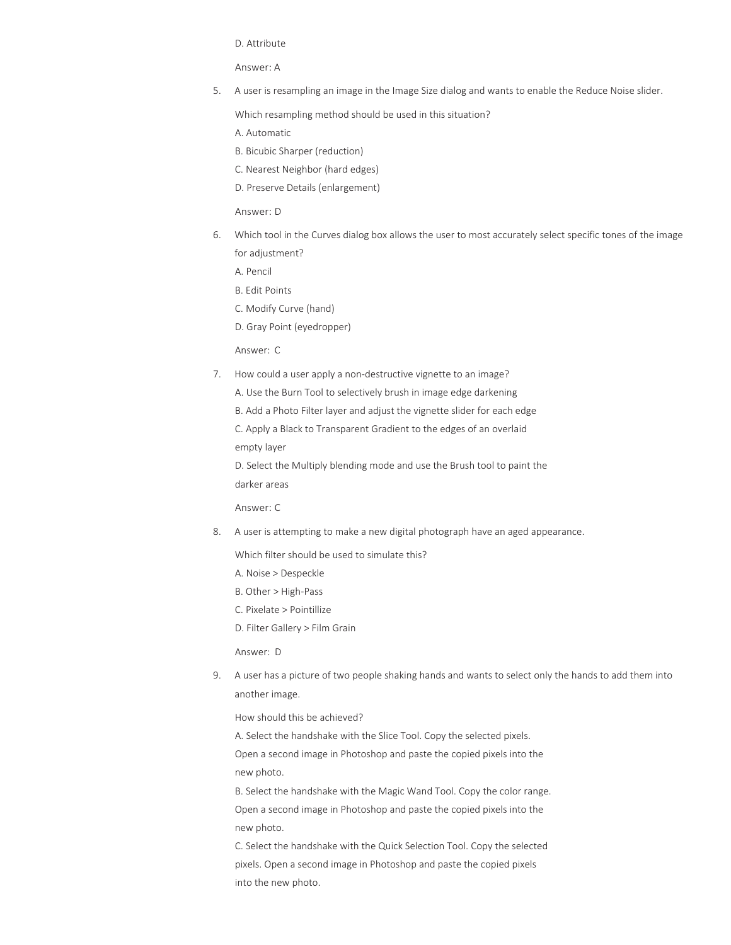D. Attribute

Answer: A

5. A user is resampling an image in the Image Size dialog and wants to enable the Reduce Noise slider.

Which resampling method should be used in this situation?

A. Automatic

B. Bicubic Sharper (reduction)

C. Nearest Neighbor (hard edges)

D. Preserve Details (enlargement)

Answer: D

6. Which tool in the Curves dialog box allows the user to most accurately select specific tones of the image for adjustment?

A. Pencil

B. Edit Points

C. Modify Curve (hand)

D. Gray Point (eyedropper)

Answer: C

7. How could a user apply a non-destructive vignette to an image?

A. Use the Burn Tool to selectively brush in image edge darkening

B. Add a Photo Filter layer and adjust the vignette slider for each edge

C. Apply a Black to Transparent Gradient to the edges of an overlaid

empty layer

D. Select the Multiply blending mode and use the Brush tool to paint the darker areas

Answer: C

8. A user is attempting to make a new digital photograph have an aged appearance.

Which filter should be used to simulate this?

- A. Noise > Despeckle
- B. Other > High-Pass
- C. Pixelate > Pointillize
- D. Filter Gallery > Film Grain

Answer: D

9. A user has a picture of two people shaking hands and wants to select only the hands to add them into another image.

How should this be achieved?

A. Select the handshake with the Slice Tool. Copy the selected pixels. Open a second image in Photoshop and paste the copied pixels into the new photo.

B. Select the handshake with the Magic Wand Tool. Copy the color range. Open a second image in Photoshop and paste the copied pixels into the new photo.

C. Select the handshake with the Quick Selection Tool. Copy the selected pixels. Open a second image in Photoshop and paste the copied pixels into the new photo.